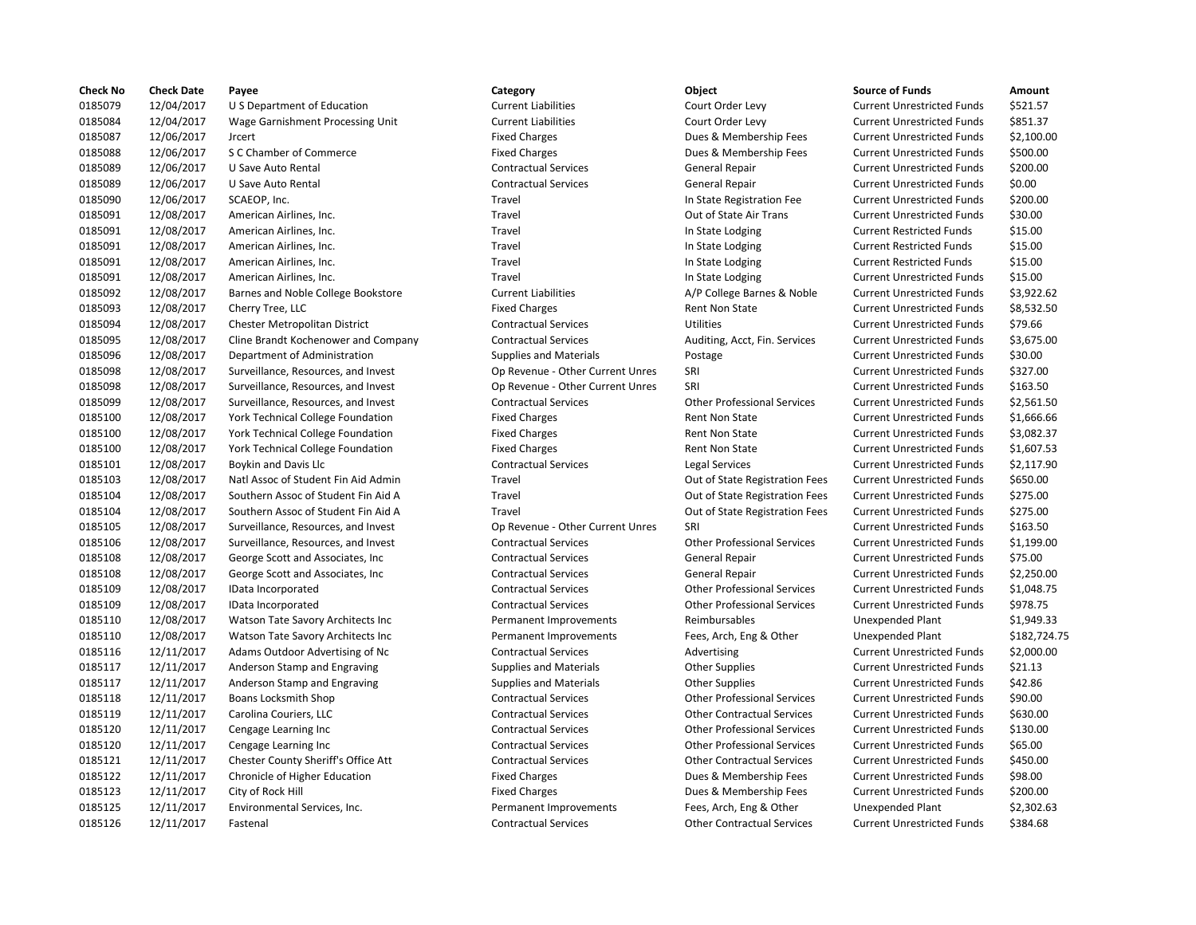| <b>Check No</b> | <b>Check Date</b> | Payee                               | Category                         | Object                             | <b>Source of Funds</b>            | Amount     |
|-----------------|-------------------|-------------------------------------|----------------------------------|------------------------------------|-----------------------------------|------------|
| 0185079         | 12/04/2017        | U S Department of Education         | <b>Current Liabilities</b>       | Court Order Levy                   | <b>Current Unrestricted Funds</b> | \$521.57   |
| 0185084         | 12/04/2017        | Wage Garnishment Processing Unit    | <b>Current Liabilities</b>       | Court Order Levy                   | <b>Current Unrestricted Funds</b> | \$851.37   |
| 0185087         | 12/06/2017        | <b>Jrcert</b>                       | <b>Fixed Charges</b>             | Dues & Membership Fees             | <b>Current Unrestricted Funds</b> | \$2,100.00 |
| 0185088         | 12/06/2017        | S C Chamber of Commerce             | <b>Fixed Charges</b>             | Dues & Membership Fees             | <b>Current Unrestricted Funds</b> | \$500.00   |
| 0185089         | 12/06/2017        | U Save Auto Rental                  | <b>Contractual Services</b>      | General Repair                     | <b>Current Unrestricted Funds</b> | \$200.00   |
| 0185089         | 12/06/2017        | U Save Auto Rental                  | <b>Contractual Services</b>      | <b>General Repair</b>              | <b>Current Unrestricted Funds</b> | \$0.00     |
| 0185090         | 12/06/2017        | SCAEOP, Inc.                        | Travel                           | In State Registration Fee          | <b>Current Unrestricted Funds</b> | \$200.00   |
| 0185091         | 12/08/2017        | American Airlines, Inc.             | Travel                           | Out of State Air Trans             | <b>Current Unrestricted Funds</b> | \$30.00    |
| 0185091         | 12/08/2017        | American Airlines, Inc.             | Travel                           | In State Lodging                   | <b>Current Restricted Funds</b>   | \$15.00    |
| 0185091         | 12/08/2017        | American Airlines, Inc.             | Travel                           | In State Lodging                   | <b>Current Restricted Funds</b>   | \$15.00    |
| 0185091         | 12/08/2017        | American Airlines, Inc.             | Travel                           | In State Lodging                   | <b>Current Restricted Funds</b>   | \$15.00    |
| 0185091         | 12/08/2017        | American Airlines, Inc.             | Travel                           | In State Lodging                   | <b>Current Unrestricted Funds</b> | \$15.00    |
| 0185092         | 12/08/2017        | Barnes and Noble College Bookstore  | <b>Current Liabilities</b>       | A/P College Barnes & Noble         | <b>Current Unrestricted Funds</b> | \$3,922.62 |
| 0185093         | 12/08/2017        | Cherry Tree, LLC                    | <b>Fixed Charges</b>             | Rent Non State                     | <b>Current Unrestricted Funds</b> | \$8,532.50 |
| 0185094         | 12/08/2017        | Chester Metropolitan District       | <b>Contractual Services</b>      | <b>Utilities</b>                   | <b>Current Unrestricted Funds</b> | \$79.66    |
| 0185095         | 12/08/2017        | Cline Brandt Kochenower and Company | <b>Contractual Services</b>      | Auditing, Acct, Fin. Services      | <b>Current Unrestricted Funds</b> | \$3,675.00 |
| 0185096         | 12/08/2017        | Department of Administration        | <b>Supplies and Materials</b>    | Postage                            | <b>Current Unrestricted Funds</b> | \$30.00    |
| 0185098         | 12/08/2017        | Surveillance, Resources, and Invest | Op Revenue - Other Current Unres | SRI                                | <b>Current Unrestricted Funds</b> | \$327.00   |
| 0185098         | 12/08/2017        | Surveillance, Resources, and Invest | Op Revenue - Other Current Unres | SRI                                | <b>Current Unrestricted Funds</b> | \$163.50   |
| 0185099         |                   |                                     | <b>Contractual Services</b>      | <b>Other Professional Services</b> | <b>Current Unrestricted Funds</b> | \$2,561.50 |
|                 | 12/08/2017        | Surveillance, Resources, and Invest |                                  | <b>Rent Non State</b>              |                                   |            |
| 0185100         | 12/08/2017        | York Technical College Foundation   | <b>Fixed Charges</b>             |                                    | <b>Current Unrestricted Funds</b> | \$1,666.66 |
| 0185100         | 12/08/2017        | York Technical College Foundation   | <b>Fixed Charges</b>             | Rent Non State                     | <b>Current Unrestricted Funds</b> | \$3,082.37 |
| 0185100         | 12/08/2017        | York Technical College Foundation   | <b>Fixed Charges</b>             | Rent Non State                     | <b>Current Unrestricted Funds</b> | \$1,607.53 |
| 0185101         | 12/08/2017        | Boykin and Davis Llc                | <b>Contractual Services</b>      | Legal Services                     | <b>Current Unrestricted Funds</b> | \$2,117.90 |
| 0185103         | 12/08/2017        | Natl Assoc of Student Fin Aid Admin | Travel                           | Out of State Registration Fees     | <b>Current Unrestricted Funds</b> | \$650.00   |
| 0185104         | 12/08/2017        | Southern Assoc of Student Fin Aid A | Travel                           | Out of State Registration Fees     | <b>Current Unrestricted Funds</b> | \$275.00   |
| 0185104         | 12/08/2017        | Southern Assoc of Student Fin Aid A | Travel                           | Out of State Registration Fees     | <b>Current Unrestricted Funds</b> | \$275.00   |
| 0185105         | 12/08/2017        | Surveillance, Resources, and Invest | Op Revenue - Other Current Unres | SRI                                | <b>Current Unrestricted Funds</b> | \$163.50   |
| 0185106         | 12/08/2017        | Surveillance, Resources, and Invest | <b>Contractual Services</b>      | <b>Other Professional Services</b> | <b>Current Unrestricted Funds</b> | \$1,199.00 |
| 0185108         | 12/08/2017        | George Scott and Associates, Inc.   | <b>Contractual Services</b>      | General Repair                     | <b>Current Unrestricted Funds</b> | \$75.00    |
| 0185108         | 12/08/2017        | George Scott and Associates, Inc.   | <b>Contractual Services</b>      | <b>General Repair</b>              | <b>Current Unrestricted Funds</b> | \$2,250.00 |
| 0185109         | 12/08/2017        | IData Incorporated                  | <b>Contractual Services</b>      | <b>Other Professional Services</b> | <b>Current Unrestricted Funds</b> | \$1,048.75 |
| 0185109         | 12/08/2017        | IData Incorporated                  | <b>Contractual Services</b>      | <b>Other Professional Services</b> | <b>Current Unrestricted Funds</b> | \$978.75   |
| 0185110         | 12/08/2017        | Watson Tate Savory Architects Inc   | Permanent Improvements           | Reimbursables                      | <b>Unexpended Plant</b>           | \$1,949.33 |
| 0185110         | 12/08/2017        | Watson Tate Savory Architects Inc   | Permanent Improvements           | Fees, Arch, Eng & Other            | <b>Unexpended Plant</b>           | \$182,724. |
| 0185116         | 12/11/2017        | Adams Outdoor Advertising of Nc     | <b>Contractual Services</b>      | Advertising                        | <b>Current Unrestricted Funds</b> | \$2,000.00 |
| 0185117         | 12/11/2017        | Anderson Stamp and Engraving        | <b>Supplies and Materials</b>    | <b>Other Supplies</b>              | <b>Current Unrestricted Funds</b> | \$21.13    |
| 0185117         | 12/11/2017        | Anderson Stamp and Engraving        | <b>Supplies and Materials</b>    | <b>Other Supplies</b>              | <b>Current Unrestricted Funds</b> | \$42.86    |
| 0185118         | 12/11/2017        | Boans Locksmith Shop                | <b>Contractual Services</b>      | <b>Other Professional Services</b> | <b>Current Unrestricted Funds</b> | \$90.00    |
| 0185119         | 12/11/2017        | Carolina Couriers, LLC              | <b>Contractual Services</b>      | <b>Other Contractual Services</b>  | <b>Current Unrestricted Funds</b> | \$630.00   |
| 0185120         | 12/11/2017        | Cengage Learning Inc                | <b>Contractual Services</b>      | <b>Other Professional Services</b> | <b>Current Unrestricted Funds</b> | \$130.00   |
| 0185120         | 12/11/2017        | Cengage Learning Inc                | <b>Contractual Services</b>      | <b>Other Professional Services</b> | <b>Current Unrestricted Funds</b> | \$65.00    |
| 0185121         | 12/11/2017        | Chester County Sheriff's Office Att | <b>Contractual Services</b>      | <b>Other Contractual Services</b>  | <b>Current Unrestricted Funds</b> | \$450.00   |
| 0185122         | 12/11/2017        | Chronicle of Higher Education       | <b>Fixed Charges</b>             | Dues & Membership Fees             | <b>Current Unrestricted Funds</b> | \$98.00    |
| 0185123         | 12/11/2017        | City of Rock Hill                   | <b>Fixed Charges</b>             | Dues & Membership Fees             | <b>Current Unrestricted Funds</b> | \$200.00   |
| 0185125         | 12/11/2017        | Environmental Services, Inc.        | Permanent Improvements           | Fees, Arch, Eng & Other            | Unexpended Plant                  | \$2,302.63 |
| 0185126         | 12/11/2017        | Fastenal                            | <b>Contractual Services</b>      | <b>Other Contractual Services</b>  | <b>Current Unrestricted Funds</b> | \$384.68   |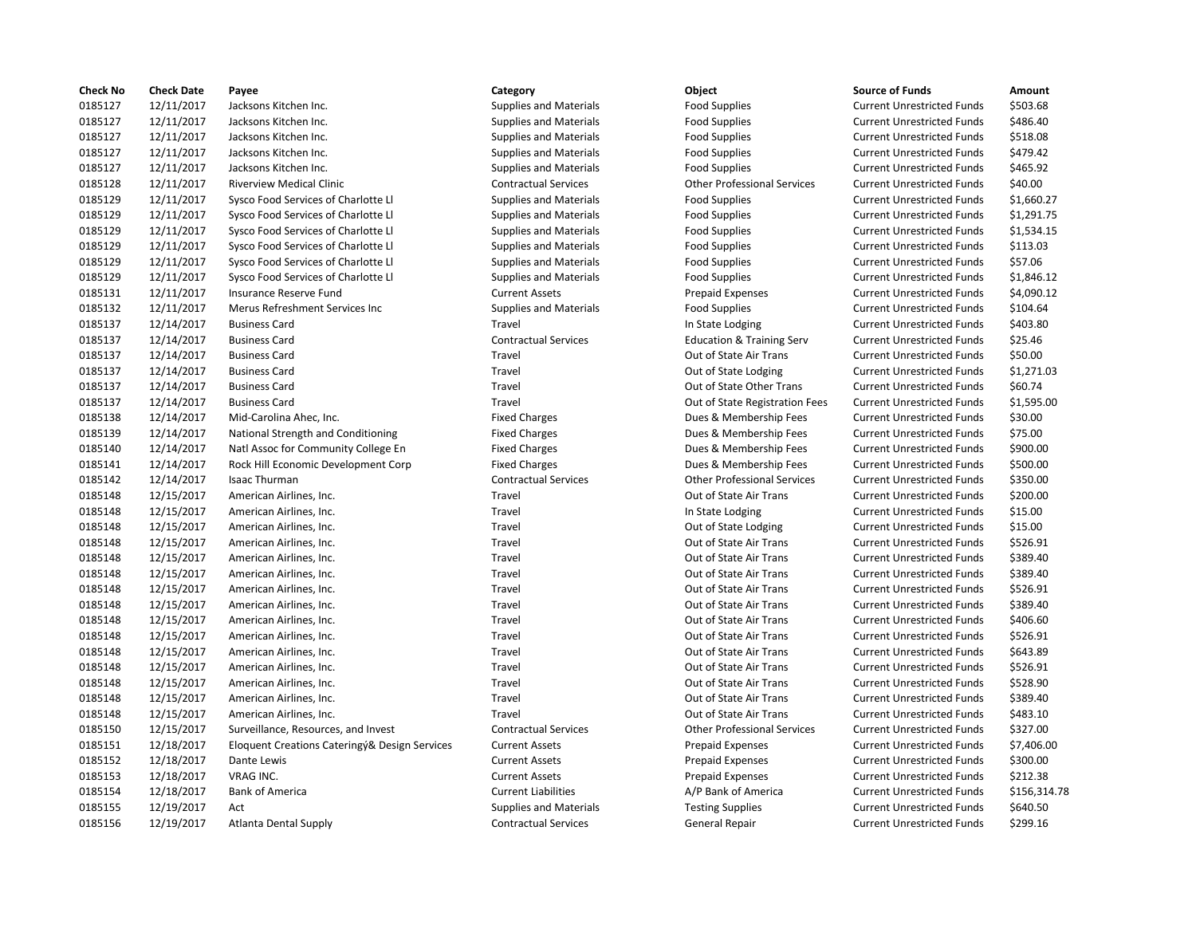| <b>Check No</b> | <b>Check Date</b> | Payee                                         | Category                      | Object                               | <b>Source of Funds</b>            | Amount     |
|-----------------|-------------------|-----------------------------------------------|-------------------------------|--------------------------------------|-----------------------------------|------------|
| 0185127         | 12/11/2017        | Jacksons Kitchen Inc.                         | <b>Supplies and Materials</b> | <b>Food Supplies</b>                 | <b>Current Unrestricted Funds</b> | \$503.68   |
| 0185127         | 12/11/2017        | Jacksons Kitchen Inc.                         | <b>Supplies and Materials</b> | <b>Food Supplies</b>                 | <b>Current Unrestricted Funds</b> | \$486.40   |
| 0185127         | 12/11/2017        | Jacksons Kitchen Inc.                         | <b>Supplies and Materials</b> | <b>Food Supplies</b>                 | <b>Current Unrestricted Funds</b> | \$518.08   |
| 0185127         | 12/11/2017        | Jacksons Kitchen Inc.                         | <b>Supplies and Materials</b> | <b>Food Supplies</b>                 | <b>Current Unrestricted Funds</b> | \$479.42   |
| 0185127         | 12/11/2017        | Jacksons Kitchen Inc.                         | Supplies and Materials        | <b>Food Supplies</b>                 | <b>Current Unrestricted Funds</b> | \$465.92   |
| 0185128         | 12/11/2017        | <b>Riverview Medical Clinic</b>               | <b>Contractual Services</b>   | <b>Other Professional Services</b>   | <b>Current Unrestricted Funds</b> | \$40.00    |
| 0185129         | 12/11/2017        | Sysco Food Services of Charlotte LI           | <b>Supplies and Materials</b> | <b>Food Supplies</b>                 | <b>Current Unrestricted Funds</b> | \$1,660.27 |
| 0185129         | 12/11/2017        | Sysco Food Services of Charlotte Ll           | <b>Supplies and Materials</b> | <b>Food Supplies</b>                 | <b>Current Unrestricted Funds</b> | \$1,291.75 |
| 0185129         | 12/11/2017        | Sysco Food Services of Charlotte Ll           | <b>Supplies and Materials</b> | <b>Food Supplies</b>                 | <b>Current Unrestricted Funds</b> | \$1,534.15 |
| 0185129         | 12/11/2017        | Sysco Food Services of Charlotte Ll           | <b>Supplies and Materials</b> | <b>Food Supplies</b>                 | <b>Current Unrestricted Funds</b> | \$113.03   |
| 0185129         | 12/11/2017        | Sysco Food Services of Charlotte Ll           | <b>Supplies and Materials</b> | <b>Food Supplies</b>                 | <b>Current Unrestricted Funds</b> | \$57.06    |
| 0185129         | 12/11/2017        | Sysco Food Services of Charlotte Ll           | <b>Supplies and Materials</b> |                                      | <b>Current Unrestricted Funds</b> | \$1,846.12 |
|                 |                   |                                               |                               | <b>Food Supplies</b>                 |                                   |            |
| 0185131         | 12/11/2017        | Insurance Reserve Fund                        | <b>Current Assets</b>         | <b>Prepaid Expenses</b>              | <b>Current Unrestricted Funds</b> | \$4,090.12 |
| 0185132         | 12/11/2017        | Merus Refreshment Services Inc                | <b>Supplies and Materials</b> | <b>Food Supplies</b>                 | <b>Current Unrestricted Funds</b> | \$104.64   |
| 0185137         | 12/14/2017        | <b>Business Card</b>                          | Travel                        | In State Lodging                     | <b>Current Unrestricted Funds</b> | \$403.80   |
| 0185137         | 12/14/2017        | <b>Business Card</b>                          | <b>Contractual Services</b>   | <b>Education &amp; Training Serv</b> | <b>Current Unrestricted Funds</b> | \$25.46    |
| 0185137         | 12/14/2017        | <b>Business Card</b>                          | Travel                        | Out of State Air Trans               | <b>Current Unrestricted Funds</b> | \$50.00    |
| 0185137         | 12/14/2017        | <b>Business Card</b>                          | Travel                        | Out of State Lodging                 | <b>Current Unrestricted Funds</b> | \$1,271.03 |
| 0185137         | 12/14/2017        | <b>Business Card</b>                          | Travel                        | Out of State Other Trans             | <b>Current Unrestricted Funds</b> | \$60.74    |
| 0185137         | 12/14/2017        | <b>Business Card</b>                          | Travel                        | Out of State Registration Fees       | <b>Current Unrestricted Funds</b> | \$1,595.00 |
| 0185138         | 12/14/2017        | Mid-Carolina Ahec, Inc.                       | <b>Fixed Charges</b>          | Dues & Membership Fees               | <b>Current Unrestricted Funds</b> | \$30.00    |
| 0185139         | 12/14/2017        | National Strength and Conditioning            | <b>Fixed Charges</b>          | Dues & Membership Fees               | <b>Current Unrestricted Funds</b> | \$75.00    |
| 0185140         | 12/14/2017        | Natl Assoc for Community College En           | <b>Fixed Charges</b>          | Dues & Membership Fees               | <b>Current Unrestricted Funds</b> | \$900.00   |
| 0185141         | 12/14/2017        | Rock Hill Economic Development Corp           | <b>Fixed Charges</b>          | Dues & Membership Fees               | <b>Current Unrestricted Funds</b> | \$500.00   |
| 0185142         | 12/14/2017        | <b>Isaac Thurman</b>                          | <b>Contractual Services</b>   | <b>Other Professional Services</b>   | <b>Current Unrestricted Funds</b> | \$350.00   |
| 0185148         | 12/15/2017        | American Airlines, Inc.                       | Travel                        | Out of State Air Trans               | <b>Current Unrestricted Funds</b> | \$200.00   |
| 0185148         | 12/15/2017        | American Airlines, Inc.                       | Travel                        | In State Lodging                     | <b>Current Unrestricted Funds</b> | \$15.00    |
| 0185148         | 12/15/2017        | American Airlines, Inc.                       | Travel                        | Out of State Lodging                 | <b>Current Unrestricted Funds</b> | \$15.00    |
| 0185148         | 12/15/2017        | American Airlines, Inc.                       | Travel                        | Out of State Air Trans               | <b>Current Unrestricted Funds</b> | \$526.91   |
| 0185148         | 12/15/2017        | American Airlines, Inc.                       | Travel                        | Out of State Air Trans               | <b>Current Unrestricted Funds</b> | \$389.40   |
| 0185148         | 12/15/2017        | American Airlines, Inc.                       | Travel                        | Out of State Air Trans               | <b>Current Unrestricted Funds</b> | \$389.40   |
| 0185148         | 12/15/2017        | American Airlines, Inc.                       | Travel                        | Out of State Air Trans               | <b>Current Unrestricted Funds</b> | \$526.91   |
| 0185148         | 12/15/2017        | American Airlines, Inc.                       | Travel                        | Out of State Air Trans               | <b>Current Unrestricted Funds</b> | \$389.40   |
| 0185148         | 12/15/2017        | American Airlines, Inc.                       | Travel                        | Out of State Air Trans               | <b>Current Unrestricted Funds</b> | \$406.60   |
| 0185148         | 12/15/2017        | American Airlines, Inc.                       | Travel                        | Out of State Air Trans               | <b>Current Unrestricted Funds</b> | \$526.91   |
| 0185148         | 12/15/2017        | American Airlines, Inc.                       | Travel                        | Out of State Air Trans               | <b>Current Unrestricted Funds</b> | \$643.89   |
| 0185148         | 12/15/2017        | American Airlines, Inc.                       | Travel                        | Out of State Air Trans               | <b>Current Unrestricted Funds</b> | \$526.91   |
| 0185148         | 12/15/2017        | American Airlines, Inc.                       | Travel                        | Out of State Air Trans               | <b>Current Unrestricted Funds</b> | \$528.90   |
| 0185148         |                   | American Airlines, Inc.                       | Travel                        | Out of State Air Trans               | <b>Current Unrestricted Funds</b> | \$389.40   |
| 0185148         | 12/15/2017        |                                               | Travel                        | Out of State Air Trans               |                                   | \$483.10   |
|                 | 12/15/2017        | American Airlines, Inc.                       |                               |                                      | <b>Current Unrestricted Funds</b> |            |
| 0185150         | 12/15/2017        | Surveillance, Resources, and Invest           | <b>Contractual Services</b>   | <b>Other Professional Services</b>   | <b>Current Unrestricted Funds</b> | \$327.00   |
| 0185151         | 12/18/2017        | Eloquent Creations Cateringý& Design Services | <b>Current Assets</b>         | <b>Prepaid Expenses</b>              | <b>Current Unrestricted Funds</b> | \$7,406.00 |
| 0185152         | 12/18/2017        | Dante Lewis                                   | <b>Current Assets</b>         | <b>Prepaid Expenses</b>              | <b>Current Unrestricted Funds</b> | \$300.00   |
| 0185153         | 12/18/2017        | <b>VRAG INC.</b>                              | <b>Current Assets</b>         | <b>Prepaid Expenses</b>              | <b>Current Unrestricted Funds</b> | \$212.38   |
| 0185154         | 12/18/2017        | <b>Bank of America</b>                        | <b>Current Liabilities</b>    | A/P Bank of America                  | <b>Current Unrestricted Funds</b> | \$156,314  |
| 0185155         | 12/19/2017        | Act                                           | <b>Supplies and Materials</b> | <b>Testing Supplies</b>              | <b>Current Unrestricted Funds</b> | \$640.50   |
| 0185156         | 12/19/2017        | Atlanta Dental Supply                         | <b>Contractual Services</b>   | <b>General Repair</b>                | <b>Current Unrestricted Funds</b> | \$299.16   |

# Supplies and Materials **Food Supplies** Food Supplies Current Unrestricted Funds \$503.68 Supplies and Materials **Food Supplies** Food Supplies Current Unrestricted Funds \$486.40 0185127 12/11/2017 Jacksons Kitchen Inc. Supplies and Materials Food Supplies Current Unrestricted Funds \$518.08 0185127 12/11/2017 Jacksons Kitchen Inc. Supplies and Materials Food Supplies Current Unrestricted Funds \$479.42 0185127 12/11/2017 Jacksons Kitchen Inc. Supplies and Materials Food Supplies Current Unrestricted Funds \$465.92 0185128 12/11/2017 Riverview Medical Clinic Contractual Services Other Professional Services Current Unrestricted Funds \$40.00 Supplies and Materials **Supplies of Charlotte Lines** Current Unrestricted Funds 51,660.27 0185129 12/11/2017 Sysco Food Services of Charlotte Ll Supplies and Materials Food Supplies Current Unrestricted Funds \$1,291.75 0185129 12/11/2017 Sysco Food Services of Charlotte Ll Supplies and Materials Food Supplies Current Unrestricted Funds \$1,534.15 0185129 12/11/2017 Sysco Food Services of Charlotte Ll Supplies and Materials Food Supplies Current Unrestricted Funds \$113.03 0185129 12/11/2017 Sysco Food Services of Charlotte Ll Supplies and Materials Food Supplies Current Unrestricted Funds \$57.06 Ourrent Assets The Reserve Prepaid Expenses Current Unrestricted Funds \$4,090.12 0185132 12/11/2017 Merus Refreshment Services Inc Supplies and Materials Food Supplies Current Unrestricted Funds \$104.64 Travel **12018 12/14/2017 In State Lodging Current Unrestricted Funds** 5403.80 0185137 12/14/2017 Business Card Contractual Services Education & Training Serv Current Unrestricted Funds \$25.46 Travel **1208 12018 12/14/2017 12/14/2017 Business Contract Current Unrestricted Funds 550.00** Travel **1208 1201** 1201 12018 Out of State Lodging Current Unrestricted Funds 51,271.03 Travel **1208 12018 12/14/2017 12/14/2017 Business Contract Current Unrestricted Funds** 560.74 0185137 12/14/2017 Business Card Travel Out of State Registration Fees Current Unrestricted Funds \$1,595.00 Fixed Charges **12012 1212 12013 12013 12023 1203** 1204 1204 1205 1206 1207 1208 1208 1209 1208 1209 1208 1209 120 Fixed Charges **12012 12/130 12/14/2017** Dues & Membership Fees Current Unrestricted Funds \$75.00 Fixed Charges The Community College Engine Community Community Community Contract Funds 5900.00 Fixed Charges The Corp Current Corp Fixed Current Unrestricted Funds \$500.00 0185142 12/14/2017 Isaac Thurman Contractual Services Other Professional Services Current Unrestricted Funds \$350.00 Travel **12018 12/15/2018 12/15/2018 12/15/2018 12/15/2018 12/15/2018 12/16/2018 12/16/2018 12/16/2018 12/16/20** Travel **12018 12/15/2017 12/15/2018 12/15/2018** In State Lodging Current Unrestricted Funds \$15.00 Travel **12018 12/15/2017 Current Unrestricted Funds** 515.00 Travel **12018 12/15/2018 12/15/2018 12/15/2018 12/15/2018 12/15/2018 12/15/2018 12/15/2018 12/16/2018 12/16/20** Travel **12018 12/15/2017 12/15/2018 12/15/2018 12/15/2018 12/15/2018 12/15/2018 12/15/2018 12/16/2018 12/16/20** Travel **1208 12014 12014 12014 12014 12014 12034 1204** 1204 1304 1304 1305 1306 1307 1308 1308 1308 1308 1308 130 Travel **12018 12/15/2017 12/15/2018 12/15/2018** Out of State Air Trans Current Unrestricted Funds \$406.60 Travel **1208 12014 12014 12014 12014 12014 12034 12034 12034 12034 12034 12034 12034 12034 1204** 1204 1205 1204 1 Travel **12018 12/15/2017 12/15/2018 12/15/2018** Out of State Air Trans Current Unrestricted Funds \$643.89 Travel **12018 12/15/2017 12/15/2018 12/15/2018** Out of State Air Trans Current Unrestricted Funds \$528.90 Travel **12018 12/15/2017 12/15/2018 12/15/2018 12/15/2018 12/15/2018 12/15/2018 12/15/2018 12/16/2018 12/16/20** Travel **12014 12014 12014 12014 12014 12014 12014 12014 12014 12014 12014 12014 12014 12014 12014 12014 12014 12014 12014 12014 12014 12014 12014 12014 12014 12014 12014 12014 12014 12014 12014 12014 12014 12014 12014 1201** 0185150 12/15/2017 Surveillance, Resources, and Invest Contractual Services Other Professional Services Current Unrestricted Funds \$327.00 0185151 12/18/2017 Eloquent Creations Cateringý& Design Services Current Assets Prepaid Expenses Current Unrestricted Funds \$7,406.00 0185152 12/18/2017 Dante Lewis Current Assets Prepaid Expenses Current Unrestricted Funds \$300.00 Current Assets **12.2017 Current Assets** Prepaid Expenses Current Unrestricted Funds \$212.38 0185154 12/18/2017 Bank of America Current Liabilities A/P Bank of America Current Unrestricted Funds \$156,314.78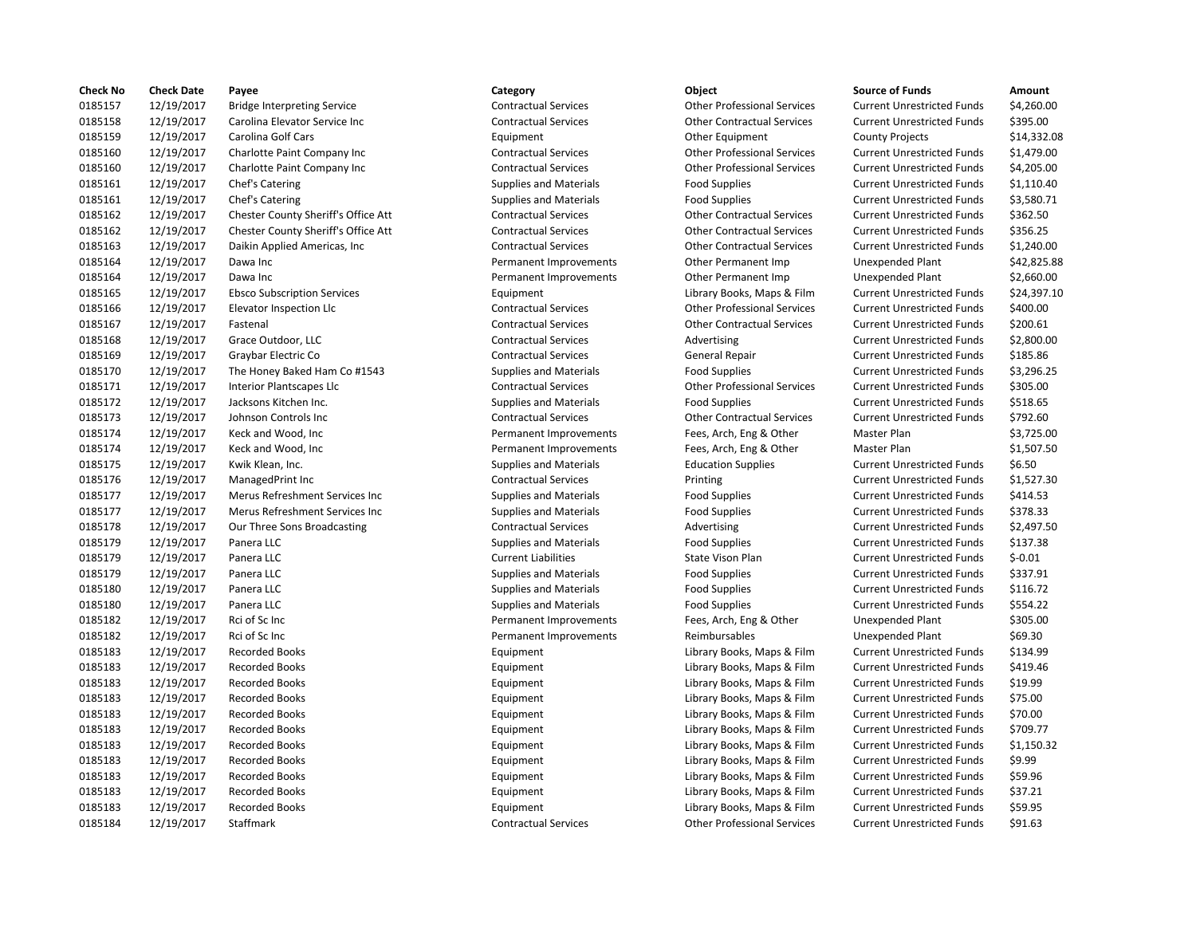| <b>Check No</b> | <b>Check Date</b> | Payee                               | Category                      | Object                             | <b>Source of Funds</b>            | Amount      |
|-----------------|-------------------|-------------------------------------|-------------------------------|------------------------------------|-----------------------------------|-------------|
| 0185157         | 12/19/2017        | <b>Bridge Interpreting Service</b>  | <b>Contractual Services</b>   | <b>Other Professional Services</b> | <b>Current Unrestricted Funds</b> | \$4,260.00  |
| 0185158         | 12/19/2017        | Carolina Elevator Service Inc       | <b>Contractual Services</b>   | <b>Other Contractual Services</b>  | <b>Current Unrestricted Funds</b> | \$395.00    |
| 0185159         | 12/19/2017        | <b>Carolina Golf Cars</b>           | Equipment                     | <b>Other Equipment</b>             | <b>County Projects</b>            | \$14,332.08 |
| 0185160         | 12/19/2017        | Charlotte Paint Company Inc         | <b>Contractual Services</b>   | <b>Other Professional Services</b> | <b>Current Unrestricted Funds</b> | \$1,479.00  |
| 0185160         | 12/19/2017        | Charlotte Paint Company Inc         | <b>Contractual Services</b>   | <b>Other Professional Services</b> | <b>Current Unrestricted Funds</b> | \$4,205.00  |
| 0185161         | 12/19/2017        | Chef's Catering                     | <b>Supplies and Materials</b> | <b>Food Supplies</b>               | <b>Current Unrestricted Funds</b> | \$1,110.40  |
| 0185161         | 12/19/2017        | Chef's Catering                     | <b>Supplies and Materials</b> | <b>Food Supplies</b>               | <b>Current Unrestricted Funds</b> | \$3,580.71  |
| 0185162         | 12/19/2017        | Chester County Sheriff's Office Att | <b>Contractual Services</b>   | <b>Other Contractual Services</b>  | <b>Current Unrestricted Funds</b> | \$362.50    |
| 0185162         | 12/19/2017        | Chester County Sheriff's Office Att | <b>Contractual Services</b>   | <b>Other Contractual Services</b>  | <b>Current Unrestricted Funds</b> | \$356.25    |
| 0185163         | 12/19/2017        | Daikin Applied Americas, Inc        | <b>Contractual Services</b>   | <b>Other Contractual Services</b>  | <b>Current Unrestricted Funds</b> | \$1,240.00  |
| 0185164         | 12/19/2017        | Dawa Inc                            | Permanent Improvements        | Other Permanent Imp                | <b>Unexpended Plant</b>           | \$42,825.88 |
| 0185164         | 12/19/2017        | Dawa Inc                            | Permanent Improvements        | Other Permanent Imp                | Unexpended Plant                  | \$2,660.00  |
| 0185165         | 12/19/2017        | <b>Ebsco Subscription Services</b>  | Equipment                     | Library Books, Maps & Film         | <b>Current Unrestricted Funds</b> | \$24,397.10 |
| 0185166         | 12/19/2017        | Elevator Inspection Llc             | <b>Contractual Services</b>   | <b>Other Professional Services</b> | <b>Current Unrestricted Funds</b> | \$400.00    |
| 0185167         | 12/19/2017        | Fastenal                            | <b>Contractual Services</b>   | <b>Other Contractual Services</b>  | <b>Current Unrestricted Funds</b> | \$200.61    |
| 0185168         | 12/19/2017        | Grace Outdoor, LLC                  | <b>Contractual Services</b>   | Advertising                        | <b>Current Unrestricted Funds</b> | \$2,800.00  |
| 0185169         | 12/19/2017        | Graybar Electric Co                 | <b>Contractual Services</b>   | General Repair                     | <b>Current Unrestricted Funds</b> | \$185.86    |
| 0185170         |                   |                                     |                               |                                    | <b>Current Unrestricted Funds</b> |             |
|                 | 12/19/2017        | The Honey Baked Ham Co #1543        | <b>Supplies and Materials</b> | <b>Food Supplies</b>               |                                   | \$3,296.25  |
| 0185171         | 12/19/2017        | Interior Plantscapes Llc            | <b>Contractual Services</b>   | <b>Other Professional Services</b> | <b>Current Unrestricted Funds</b> | \$305.00    |
| 0185172         | 12/19/2017        | Jacksons Kitchen Inc.               | <b>Supplies and Materials</b> | <b>Food Supplies</b>               | <b>Current Unrestricted Funds</b> | \$518.65    |
| 0185173         | 12/19/2017        | Johnson Controls Inc                | <b>Contractual Services</b>   | <b>Other Contractual Services</b>  | <b>Current Unrestricted Funds</b> | \$792.60    |
| 0185174         | 12/19/2017        | Keck and Wood, Inc                  | Permanent Improvements        | Fees, Arch, Eng & Other            | Master Plan                       | \$3,725.00  |
| 0185174         | 12/19/2017        | Keck and Wood, Inc                  | Permanent Improvements        | Fees, Arch, Eng & Other            | Master Plan                       | \$1,507.50  |
| 0185175         | 12/19/2017        | Kwik Klean, Inc.                    | <b>Supplies and Materials</b> | <b>Education Supplies</b>          | <b>Current Unrestricted Funds</b> | \$6.50      |
| 0185176         | 12/19/2017        | ManagedPrint Inc                    | <b>Contractual Services</b>   | Printing                           | <b>Current Unrestricted Funds</b> | \$1,527.30  |
| 0185177         | 12/19/2017        | Merus Refreshment Services Inc      | <b>Supplies and Materials</b> | <b>Food Supplies</b>               | <b>Current Unrestricted Funds</b> | \$414.53    |
| 0185177         | 12/19/2017        | Merus Refreshment Services Inc      | <b>Supplies and Materials</b> | <b>Food Supplies</b>               | <b>Current Unrestricted Funds</b> | \$378.33    |
| 0185178         | 12/19/2017        | Our Three Sons Broadcasting         | <b>Contractual Services</b>   | Advertising                        | <b>Current Unrestricted Funds</b> | \$2,497.50  |
| 0185179         | 12/19/2017        | Panera LLC                          | <b>Supplies and Materials</b> | <b>Food Supplies</b>               | <b>Current Unrestricted Funds</b> | \$137.38    |
| 0185179         | 12/19/2017        | Panera LLC                          | <b>Current Liabilities</b>    | State Vison Plan                   | <b>Current Unrestricted Funds</b> | $$-0.01$    |
| 0185179         | 12/19/2017        | Panera LLC                          | <b>Supplies and Materials</b> | <b>Food Supplies</b>               | <b>Current Unrestricted Funds</b> | \$337.91    |
| 0185180         | 12/19/2017        | Panera LLC                          | Supplies and Materials        | <b>Food Supplies</b>               | <b>Current Unrestricted Funds</b> | \$116.72    |
| 0185180         | 12/19/2017        | Panera LLC                          | <b>Supplies and Materials</b> | <b>Food Supplies</b>               | <b>Current Unrestricted Funds</b> | \$554.22    |
| 0185182         | 12/19/2017        | Rci of Sc Inc                       | Permanent Improvements        | Fees, Arch, Eng & Other            | Unexpended Plant                  | \$305.00    |
| 0185182         | 12/19/2017        | Rci of Sc Inc                       | Permanent Improvements        | Reimbursables                      | <b>Unexpended Plant</b>           | \$69.30     |
| 0185183         | 12/19/2017        | <b>Recorded Books</b>               | Equipment                     | Library Books, Maps & Film         | <b>Current Unrestricted Funds</b> | \$134.99    |
| 0185183         | 12/19/2017        | <b>Recorded Books</b>               | Equipment                     | Library Books, Maps & Film         | <b>Current Unrestricted Funds</b> | \$419.46    |
| 0185183         | 12/19/2017        | <b>Recorded Books</b>               | Equipment                     | Library Books, Maps & Film         | <b>Current Unrestricted Funds</b> | \$19.99     |
| 0185183         | 12/19/2017        | <b>Recorded Books</b>               | Equipment                     | Library Books, Maps & Film         | <b>Current Unrestricted Funds</b> | \$75.00     |
| 0185183         | 12/19/2017        | <b>Recorded Books</b>               | Equipment                     | Library Books, Maps & Film         | <b>Current Unrestricted Funds</b> | \$70.00     |
| 0185183         | 12/19/2017        | <b>Recorded Books</b>               | Equipment                     | Library Books, Maps & Film         | <b>Current Unrestricted Funds</b> | \$709.77    |
| 0185183         | 12/19/2017        | <b>Recorded Books</b>               | Equipment                     | Library Books, Maps & Film         | <b>Current Unrestricted Funds</b> | \$1,150.32  |
| 0185183         | 12/19/2017        | <b>Recorded Books</b>               | Equipment                     | Library Books, Maps & Film         | <b>Current Unrestricted Funds</b> | \$9.99      |
| 0185183         | 12/19/2017        | <b>Recorded Books</b>               | Equipment                     | Library Books, Maps & Film         | <b>Current Unrestricted Funds</b> | \$59.96     |
| 0185183         | 12/19/2017        | <b>Recorded Books</b>               | Equipment                     | Library Books, Maps & Film         | <b>Current Unrestricted Funds</b> | \$37.21     |
| 0185183         | 12/19/2017        | <b>Recorded Books</b>               | Equipment                     | Library Books, Maps & Film         | <b>Current Unrestricted Funds</b> | \$59.95     |
| 0185184         | 12/19/2017        | Staffmark                           | <b>Contractual Services</b>   | <b>Other Professional Services</b> | <b>Current Unrestricted Funds</b> | \$91.63     |
|                 |                   |                                     |                               |                                    |                                   |             |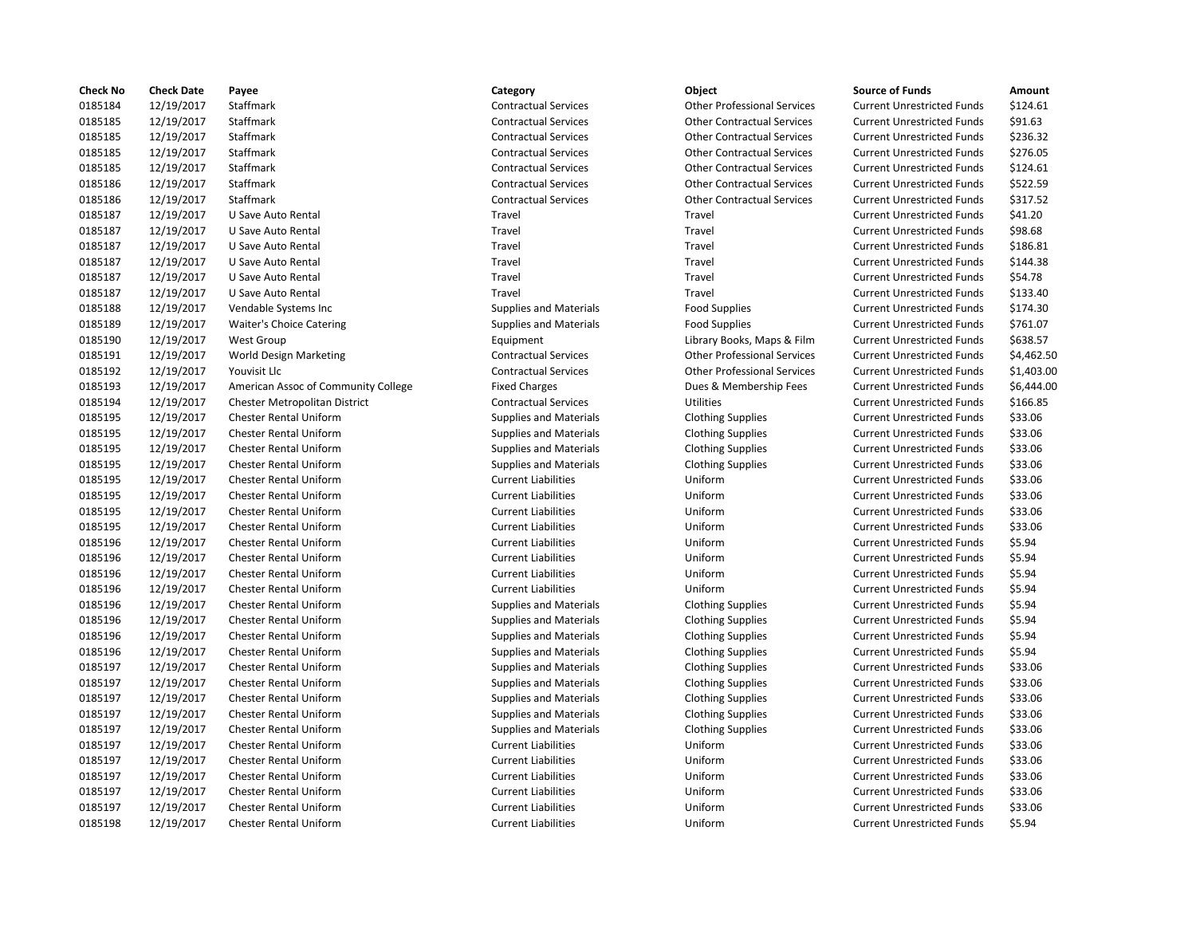| <b>Check No</b> | <b>Check Date</b> | Payee                               | Category                      | Object                             | <b>Source of Funds</b>            | Amount    |
|-----------------|-------------------|-------------------------------------|-------------------------------|------------------------------------|-----------------------------------|-----------|
| 0185184         | 12/19/2017        | Staffmark                           | <b>Contractual Services</b>   | <b>Other Professional Services</b> | <b>Current Unrestricted Funds</b> | \$124.61  |
| 0185185         | 12/19/2017        | Staffmark                           | <b>Contractual Services</b>   | <b>Other Contractual Services</b>  | <b>Current Unrestricted Funds</b> | \$91.63   |
| 0185185         | 12/19/2017        | Staffmark                           | <b>Contractual Services</b>   | <b>Other Contractual Services</b>  | <b>Current Unrestricted Funds</b> | \$236.32  |
| 0185185         | 12/19/2017        | Staffmark                           | <b>Contractual Services</b>   | <b>Other Contractual Services</b>  | <b>Current Unrestricted Funds</b> | \$276.05  |
| 0185185         | 12/19/2017        | Staffmark                           | <b>Contractual Services</b>   | <b>Other Contractual Services</b>  | <b>Current Unrestricted Funds</b> | \$124.61  |
| 0185186         | 12/19/2017        | Staffmark                           | <b>Contractual Services</b>   | <b>Other Contractual Services</b>  | <b>Current Unrestricted Funds</b> | \$522.59  |
| 0185186         | 12/19/2017        | Staffmark                           | <b>Contractual Services</b>   | <b>Other Contractual Services</b>  | <b>Current Unrestricted Funds</b> | \$317.52  |
| 0185187         | 12/19/2017        | U Save Auto Rental                  | Travel                        | Travel                             | <b>Current Unrestricted Funds</b> | \$41.20   |
| 0185187         | 12/19/2017        | U Save Auto Rental                  | Travel                        | Travel                             | <b>Current Unrestricted Funds</b> | \$98.68   |
| 0185187         | 12/19/2017        | U Save Auto Rental                  | Travel                        | Travel                             | <b>Current Unrestricted Funds</b> | \$186.81  |
| 0185187         | 12/19/2017        | U Save Auto Rental                  | Travel                        | Travel                             | <b>Current Unrestricted Funds</b> | \$144.38  |
| 0185187         | 12/19/2017        | U Save Auto Rental                  | Travel                        | Travel                             | <b>Current Unrestricted Funds</b> | \$54.78   |
| 0185187         | 12/19/2017        | U Save Auto Rental                  | Travel                        | Travel                             | <b>Current Unrestricted Funds</b> | \$133.40  |
| 0185188         | 12/19/2017        | Vendable Systems Inc                | <b>Supplies and Materials</b> | <b>Food Supplies</b>               | <b>Current Unrestricted Funds</b> | \$174.30  |
| 0185189         | 12/19/2017        | <b>Waiter's Choice Catering</b>     | <b>Supplies and Materials</b> | <b>Food Supplies</b>               | <b>Current Unrestricted Funds</b> | \$761.07  |
| 0185190         | 12/19/2017        | <b>West Group</b>                   | Equipment                     | Library Books, Maps & Film         | <b>Current Unrestricted Funds</b> | \$638.57  |
| 0185191         | 12/19/2017        | World Design Marketing              | <b>Contractual Services</b>   | <b>Other Professional Services</b> | <b>Current Unrestricted Funds</b> | \$4,462.5 |
| 0185192         | 12/19/2017        | Youvisit Llc                        | <b>Contractual Services</b>   | <b>Other Professional Services</b> | <b>Current Unrestricted Funds</b> | \$1,403.0 |
| 0185193         | 12/19/2017        | American Assoc of Community College | <b>Fixed Charges</b>          | Dues & Membership Fees             | <b>Current Unrestricted Funds</b> | \$6,444.0 |
| 0185194         | 12/19/2017        | Chester Metropolitan District       | <b>Contractual Services</b>   | <b>Utilities</b>                   | <b>Current Unrestricted Funds</b> | \$166.85  |
| 0185195         | 12/19/2017        | <b>Chester Rental Uniform</b>       | <b>Supplies and Materials</b> | <b>Clothing Supplies</b>           | <b>Current Unrestricted Funds</b> | \$33.06   |
| 0185195         | 12/19/2017        | <b>Chester Rental Uniform</b>       | <b>Supplies and Materials</b> | <b>Clothing Supplies</b>           | <b>Current Unrestricted Funds</b> | \$33.06   |
| 0185195         | 12/19/2017        | <b>Chester Rental Uniform</b>       | <b>Supplies and Materials</b> | <b>Clothing Supplies</b>           | <b>Current Unrestricted Funds</b> | \$33.06   |
| 0185195         | 12/19/2017        | <b>Chester Rental Uniform</b>       | <b>Supplies and Materials</b> | <b>Clothing Supplies</b>           | <b>Current Unrestricted Funds</b> | \$33.06   |
| 0185195         | 12/19/2017        | <b>Chester Rental Uniform</b>       | <b>Current Liabilities</b>    | Uniform                            | <b>Current Unrestricted Funds</b> | \$33.06   |
| 0185195         | 12/19/2017        | Chester Rental Uniform              | <b>Current Liabilities</b>    | Uniform                            | <b>Current Unrestricted Funds</b> | \$33.06   |
| 0185195         | 12/19/2017        | <b>Chester Rental Uniform</b>       | <b>Current Liabilities</b>    | Uniform                            | <b>Current Unrestricted Funds</b> | \$33.06   |
| 0185195         | 12/19/2017        | <b>Chester Rental Uniform</b>       | <b>Current Liabilities</b>    | Uniform                            | <b>Current Unrestricted Funds</b> | \$33.06   |
| 0185196         | 12/19/2017        | <b>Chester Rental Uniform</b>       | <b>Current Liabilities</b>    | Uniform                            | <b>Current Unrestricted Funds</b> | \$5.94    |
| 0185196         | 12/19/2017        | <b>Chester Rental Uniform</b>       | <b>Current Liabilities</b>    | Uniform                            | <b>Current Unrestricted Funds</b> | \$5.94    |
| 0185196         | 12/19/2017        | <b>Chester Rental Uniform</b>       | <b>Current Liabilities</b>    | Uniform                            | <b>Current Unrestricted Funds</b> | \$5.94    |
| 0185196         | 12/19/2017        | <b>Chester Rental Uniform</b>       | <b>Current Liabilities</b>    | Uniform                            | <b>Current Unrestricted Funds</b> | \$5.94    |
| 0185196         | 12/19/2017        | <b>Chester Rental Uniform</b>       | <b>Supplies and Materials</b> | <b>Clothing Supplies</b>           | <b>Current Unrestricted Funds</b> | \$5.94    |
| 0185196         | 12/19/2017        | <b>Chester Rental Uniform</b>       | <b>Supplies and Materials</b> | <b>Clothing Supplies</b>           | <b>Current Unrestricted Funds</b> | \$5.94    |
| 0185196         | 12/19/2017        | <b>Chester Rental Uniform</b>       | <b>Supplies and Materials</b> | <b>Clothing Supplies</b>           | <b>Current Unrestricted Funds</b> | \$5.94    |
| 0185196         | 12/19/2017        | <b>Chester Rental Uniform</b>       | <b>Supplies and Materials</b> | <b>Clothing Supplies</b>           | <b>Current Unrestricted Funds</b> | \$5.94    |
| 0185197         | 12/19/2017        | <b>Chester Rental Uniform</b>       | <b>Supplies and Materials</b> | <b>Clothing Supplies</b>           | <b>Current Unrestricted Funds</b> | \$33.06   |
| 0185197         | 12/19/2017        | <b>Chester Rental Uniform</b>       | <b>Supplies and Materials</b> | <b>Clothing Supplies</b>           | <b>Current Unrestricted Funds</b> | \$33.06   |
| 0185197         | 12/19/2017        | <b>Chester Rental Uniform</b>       | <b>Supplies and Materials</b> | <b>Clothing Supplies</b>           | <b>Current Unrestricted Funds</b> | \$33.06   |
| 0185197         | 12/19/2017        | <b>Chester Rental Uniform</b>       | <b>Supplies and Materials</b> | <b>Clothing Supplies</b>           | <b>Current Unrestricted Funds</b> | \$33.06   |
| 0185197         | 12/19/2017        | <b>Chester Rental Uniform</b>       | <b>Supplies and Materials</b> | <b>Clothing Supplies</b>           | <b>Current Unrestricted Funds</b> | \$33.06   |
| 0185197         | 12/19/2017        | Chester Rental Uniform              | <b>Current Liabilities</b>    | Uniform                            | <b>Current Unrestricted Funds</b> | \$33.06   |
| 0185197         |                   | <b>Chester Rental Uniform</b>       |                               | Uniform                            |                                   | \$33.06   |
|                 | 12/19/2017        |                                     | <b>Current Liabilities</b>    |                                    | <b>Current Unrestricted Funds</b> |           |
| 0185197         | 12/19/2017        | <b>Chester Rental Uniform</b>       | <b>Current Liabilities</b>    | Uniform<br>Uniform                 | <b>Current Unrestricted Funds</b> | \$33.06   |
| 0185197         | 12/19/2017        | <b>Chester Rental Uniform</b>       | <b>Current Liabilities</b>    |                                    | <b>Current Unrestricted Funds</b> | \$33.06   |
| 0185197         | 12/19/2017        | <b>Chester Rental Uniform</b>       | <b>Current Liabilities</b>    | Uniform                            | <b>Current Unrestricted Funds</b> | \$33.06   |
| 0185198         | 12/19/2017        | <b>Chester Rental Uniform</b>       | <b>Current Liabilities</b>    | Uniform                            | <b>Current Unrestricted Funds</b> | \$5.94    |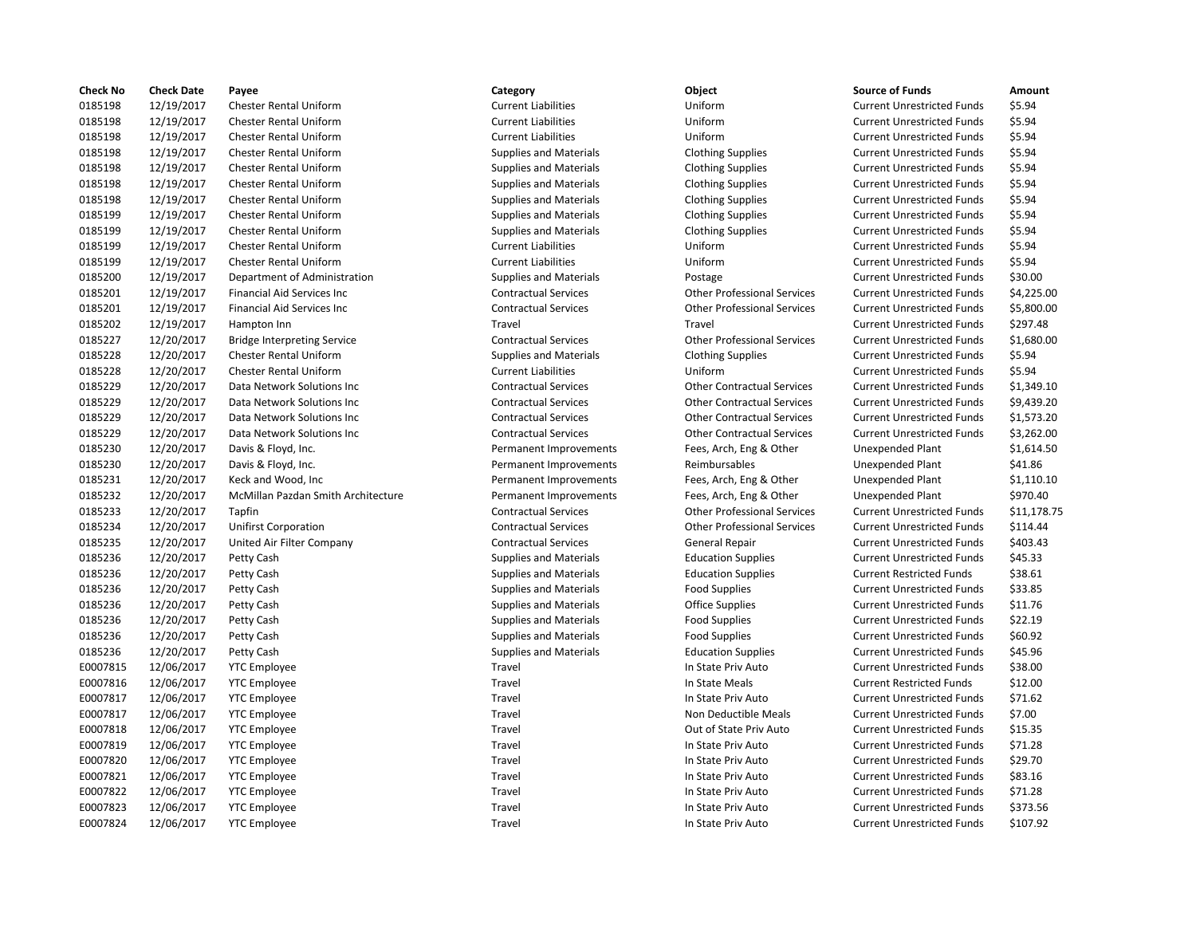| <b>Check No</b> | <b>Check Date</b> | Payee                              | Category                      | Object                             | <b>Source of Funds</b>            | Amount     |
|-----------------|-------------------|------------------------------------|-------------------------------|------------------------------------|-----------------------------------|------------|
| 0185198         | 12/19/2017        | Chester Rental Uniform             | <b>Current Liabilities</b>    | Uniform                            | <b>Current Unrestricted Funds</b> | \$5.94     |
| 0185198         | 12/19/2017        | <b>Chester Rental Uniform</b>      | <b>Current Liabilities</b>    | Uniform                            | <b>Current Unrestricted Funds</b> | \$5.94     |
| 0185198         | 12/19/2017        | <b>Chester Rental Uniform</b>      | <b>Current Liabilities</b>    | Uniform                            | <b>Current Unrestricted Funds</b> | \$5.94     |
| 0185198         | 12/19/2017        | <b>Chester Rental Uniform</b>      | <b>Supplies and Materials</b> | <b>Clothing Supplies</b>           | <b>Current Unrestricted Funds</b> | \$5.94     |
| 0185198         | 12/19/2017        | Chester Rental Uniform             | <b>Supplies and Materials</b> | <b>Clothing Supplies</b>           | <b>Current Unrestricted Funds</b> | \$5.94     |
| 0185198         | 12/19/2017        | <b>Chester Rental Uniform</b>      | <b>Supplies and Materials</b> | <b>Clothing Supplies</b>           | <b>Current Unrestricted Funds</b> | \$5.94     |
| 0185198         | 12/19/2017        | <b>Chester Rental Uniform</b>      | <b>Supplies and Materials</b> | <b>Clothing Supplies</b>           | <b>Current Unrestricted Funds</b> | \$5.94     |
| 0185199         | 12/19/2017        | <b>Chester Rental Uniform</b>      | <b>Supplies and Materials</b> | <b>Clothing Supplies</b>           | <b>Current Unrestricted Funds</b> | \$5.94     |
| 0185199         | 12/19/2017        | <b>Chester Rental Uniform</b>      | <b>Supplies and Materials</b> | <b>Clothing Supplies</b>           | <b>Current Unrestricted Funds</b> | \$5.94     |
| 0185199         | 12/19/2017        | <b>Chester Rental Uniform</b>      | <b>Current Liabilities</b>    | Uniform                            | <b>Current Unrestricted Funds</b> | \$5.94     |
| 0185199         | 12/19/2017        | <b>Chester Rental Uniform</b>      | <b>Current Liabilities</b>    | Uniform                            | <b>Current Unrestricted Funds</b> | \$5.94     |
| 0185200         | 12/19/2017        | Department of Administration       | <b>Supplies and Materials</b> | Postage                            | <b>Current Unrestricted Funds</b> | \$30.00    |
| 0185201         | 12/19/2017        | <b>Financial Aid Services Inc.</b> | <b>Contractual Services</b>   | <b>Other Professional Services</b> | <b>Current Unrestricted Funds</b> | \$4,225.00 |
| 0185201         | 12/19/2017        | <b>Financial Aid Services Inc</b>  | <b>Contractual Services</b>   | <b>Other Professional Services</b> | <b>Current Unrestricted Funds</b> | \$5,800.00 |
| 0185202         | 12/19/2017        | Hampton Inn                        | Travel                        | Travel                             | <b>Current Unrestricted Funds</b> | \$297.48   |
|                 |                   |                                    |                               |                                    |                                   |            |
| 0185227         | 12/20/2017        | <b>Bridge Interpreting Service</b> | <b>Contractual Services</b>   | <b>Other Professional Services</b> | <b>Current Unrestricted Funds</b> | \$1,680.00 |
| 0185228         | 12/20/2017        | Chester Rental Uniform             | <b>Supplies and Materials</b> | <b>Clothing Supplies</b>           | <b>Current Unrestricted Funds</b> | \$5.94     |
| 0185228         | 12/20/2017        | <b>Chester Rental Uniform</b>      | <b>Current Liabilities</b>    | Uniform                            | <b>Current Unrestricted Funds</b> | \$5.94     |
| 0185229         | 12/20/2017        | Data Network Solutions Inc         | <b>Contractual Services</b>   | <b>Other Contractual Services</b>  | <b>Current Unrestricted Funds</b> | \$1,349.10 |
| 0185229         | 12/20/2017        | Data Network Solutions Inc         | <b>Contractual Services</b>   | <b>Other Contractual Services</b>  | <b>Current Unrestricted Funds</b> | \$9,439.20 |
| 0185229         | 12/20/2017        | Data Network Solutions Inc         | <b>Contractual Services</b>   | <b>Other Contractual Services</b>  | <b>Current Unrestricted Funds</b> | \$1,573.20 |
| 0185229         | 12/20/2017        | Data Network Solutions Inc         | <b>Contractual Services</b>   | <b>Other Contractual Services</b>  | <b>Current Unrestricted Funds</b> | \$3,262.00 |
| 0185230         | 12/20/2017        | Davis & Floyd, Inc.                | Permanent Improvements        | Fees, Arch, Eng & Other            | <b>Unexpended Plant</b>           | \$1,614.50 |
| 0185230         | 12/20/2017        | Davis & Floyd, Inc.                | Permanent Improvements        | Reimbursables                      | <b>Unexpended Plant</b>           | \$41.86    |
| 0185231         | 12/20/2017        | Keck and Wood, Inc                 | Permanent Improvements        | Fees, Arch, Eng & Other            | Unexpended Plant                  | \$1,110.10 |
| 0185232         | 12/20/2017        | McMillan Pazdan Smith Architecture | Permanent Improvements        | Fees, Arch, Eng & Other            | <b>Unexpended Plant</b>           | \$970.40   |
| 0185233         | 12/20/2017        | Tapfin                             | <b>Contractual Services</b>   | <b>Other Professional Services</b> | <b>Current Unrestricted Funds</b> | \$11,178.7 |
| 0185234         | 12/20/2017        | <b>Unifirst Corporation</b>        | <b>Contractual Services</b>   | <b>Other Professional Services</b> | <b>Current Unrestricted Funds</b> | \$114.44   |
| 0185235         | 12/20/2017        | United Air Filter Company          | <b>Contractual Services</b>   | <b>General Repair</b>              | <b>Current Unrestricted Funds</b> | \$403.43   |
| 0185236         | 12/20/2017        | Petty Cash                         | <b>Supplies and Materials</b> | <b>Education Supplies</b>          | <b>Current Unrestricted Funds</b> | \$45.33    |
| 0185236         | 12/20/2017        | Petty Cash                         | <b>Supplies and Materials</b> | <b>Education Supplies</b>          | <b>Current Restricted Funds</b>   | \$38.61    |
| 0185236         | 12/20/2017        | Petty Cash                         | <b>Supplies and Materials</b> | <b>Food Supplies</b>               | <b>Current Unrestricted Funds</b> | \$33.85    |
| 0185236         | 12/20/2017        | Petty Cash                         | <b>Supplies and Materials</b> | <b>Office Supplies</b>             | <b>Current Unrestricted Funds</b> | \$11.76    |
| 0185236         | 12/20/2017        | Petty Cash                         | <b>Supplies and Materials</b> | <b>Food Supplies</b>               | <b>Current Unrestricted Funds</b> | \$22.19    |
| 0185236         | 12/20/2017        | Petty Cash                         | <b>Supplies and Materials</b> | <b>Food Supplies</b>               | <b>Current Unrestricted Funds</b> | \$60.92    |
| 0185236         | 12/20/2017        | Petty Cash                         | <b>Supplies and Materials</b> | <b>Education Supplies</b>          | <b>Current Unrestricted Funds</b> | \$45.96    |
| E0007815        | 12/06/2017        | <b>YTC Employee</b>                | Travel                        | In State Priv Auto                 | <b>Current Unrestricted Funds</b> | \$38.00    |
| E0007816        | 12/06/2017        | <b>YTC Employee</b>                | Travel                        | In State Meals                     | <b>Current Restricted Funds</b>   | \$12.00    |
| E0007817        | 12/06/2017        | <b>YTC Employee</b>                | Travel                        | In State Priv Auto                 | <b>Current Unrestricted Funds</b> | \$71.62    |
| E0007817        | 12/06/2017        | <b>YTC Employee</b>                | Travel                        | Non Deductible Meals               | <b>Current Unrestricted Funds</b> | \$7.00     |
| E0007818        | 12/06/2017        | <b>YTC Employee</b>                | Travel                        | Out of State Priv Auto             | <b>Current Unrestricted Funds</b> | \$15.35    |
| E0007819        | 12/06/2017        | <b>YTC Employee</b>                | Travel                        | In State Priv Auto                 | <b>Current Unrestricted Funds</b> | \$71.28    |
| E0007820        | 12/06/2017        | <b>YTC Employee</b>                | Travel                        | In State Priv Auto                 | <b>Current Unrestricted Funds</b> | \$29.70    |
| E0007821        | 12/06/2017        | <b>YTC Employee</b>                | Travel                        | In State Priv Auto                 | <b>Current Unrestricted Funds</b> | \$83.16    |
| E0007822        | 12/06/2017        | <b>YTC Employee</b>                | Travel                        | In State Priv Auto                 | <b>Current Unrestricted Funds</b> | \$71.28    |
| E0007823        | 12/06/2017        | <b>YTC Employee</b>                | Travel                        | In State Priv Auto                 | <b>Current Unrestricted Funds</b> | \$373.56   |
| E0007824        | 12/06/2017        | <b>YTC Employee</b>                | Travel                        | In State Priv Auto                 | <b>Current Unrestricted Funds</b> | \$107.92   |
|                 |                   |                                    |                               |                                    |                                   |            |

# 0185198 12/19/2017 Chester Rental Uniform Current Liabilities Uniform Current Unrestricted Funds \$5.94 0185198 12/19/2017 Chester Rental Uniform Current Liabilities Uniform Current Unrestricted Funds \$5.94 0185198 12/19/2017 Chester Rental Uniform Current Liabilities Uniform Current Unrestricted Funds \$5.94 Supplies and Materials **12018 12012 Clothing Supplies** Current Unrestricted Funds 55.94 Supplies and Materials **12018 12012 Clothing Supplies** Current Unrestricted Funds 55.94 Supplies and Materials **12018 Clothing Supplies 12018** Current Unrestricted Funds 55.94 Supplies and Materials **12018** Clothing Supplies **12018** Current Unrestricted Funds 125.94 Supplies and Materials **12018** 12.94 Clothing Supplies **Current Unrestricted Funds** 195.94 Supplies and Materials **12018** 12.94 Clothing Supplies **Current Unrestricted Funds** 1 \$5.94 0185199 12/19/2017 Chester Rental Uniform Current Liabilities Uniform Current Unrestricted Funds \$5.94 0185199 12/19/2017 Chester Rental Uniform Current Liabilities Uniform Current Unrestricted Funds \$5.94 0185200 12/19/2017 Department of Administration Supplies and Materials Postage Current Unrestricted Funds \$30.00 Contractual Services **Inc. 2018** The Professional Services Current Unrestricted Funds \$4,225.00 0185201 12/19/2017 Financial Aid Services Inc Contractual Services Other Professional Services Current Unrestricted Funds \$5,800.00 0185202 12/19/2017 Hampton Inn Travel Travel Current Unrestricted Funds \$297.48 Supplies and Materials **12012 Clothing Supplies** Current Unrestricted Funds 55.94 0185228 12/20/2017 Chester Rental Uniform Current Liabilities Uniform Current Unrestricted Funds \$5.94 0185229 12/20/2017 Data Network Solutions Inc Contractual Services Other Contractual Services Current Unrestricted Funds \$1,349.10 0185229 12/20/2017 Data Network Solutions Inc Contractual Services Other Contractual Services Current Unrestricted Funds \$9,439.20 0185229 12/20/2017 Data Network Solutions Inc Contractual Services Other Contractual Services Current Unrestricted Funds \$1,573.20 0185229 12/20/2017 Data Network Solutions Inc Contractual Services Other Contractual Services Current Unrestricted Funds \$3,262.00 Permanent Improvements Fees, Arch, Eng & Other Unexpended Plant \$1,614.50 Permanent Improvements The Reimbursables Controller Reimbursables Unexpended Plant 541.86 Permanent Improvements Fees, Arch, Eng & Other Unexpended Plant \$1,110.10 0185232 12/20/2017 McMillan Pazdan Smith Architecture Permanent Improvements Fees, Arch, Eng & Other Unexpended Plant \$970.40 0185233 12/20/2017 Tapfin Contractual Services Other Professional Services Current Unrestricted Funds \$11,178.75 0185234 12/20/2017 Unifirst Corporation Contractual Services Other Professional Services Current Unrestricted Funds \$114.44 0185236 12/20/2017 Petty Cash Supplies and Materials Education Supplies Current Unrestricted Funds \$45.33 Supplies and Materials **12018 12012 Education Supplies** Current Restricted Funds 538.61 0185236 12/20/2017 Petty Cash Supplies and Materials Food Supplies Current Unrestricted Funds \$33.85 0185236 12/20/2017 Petty Cash Supplies and Materials Food Supplies Current Unrestricted Funds \$22.19 Supplies and Materials **Food Supplies Current Unrestricted Funds** 560.92 Supplies and Materials **Education Supplies** Current Unrestricted Funds \$45.96 Endel Travel 10007816 12.0007816 12.0001 In State Meals Current Restricted Funds 512.00 Travel **EXECUTE:** Travel In State Priv Auto **Current Unrestricted Funds** 571.62 Travel **EXECUTE:** Non Deductible Meals Current Unrestricted Funds \$7.00 Travel **EXECORREGIST CONTENTS ISSUE TRAVEL** Out of State Priv Auto Current Unrestricted Funds \$15.35 E0007819 12/06/2017 YTC Employee Travel In State Priv Auto Current Unrestricted Funds \$71.28 Travel **EXECO** 12007 12007 In State Priv Auto Current Unrestricted Funds 529.70 E0007821 12/06/2017 YTC Employee Travel In State Priv Auto Current Unrestricted Funds \$83.16 E0007822 12/06/2017 YTC Employee Travel In State Priv Auto Current Unrestricted Funds \$71.28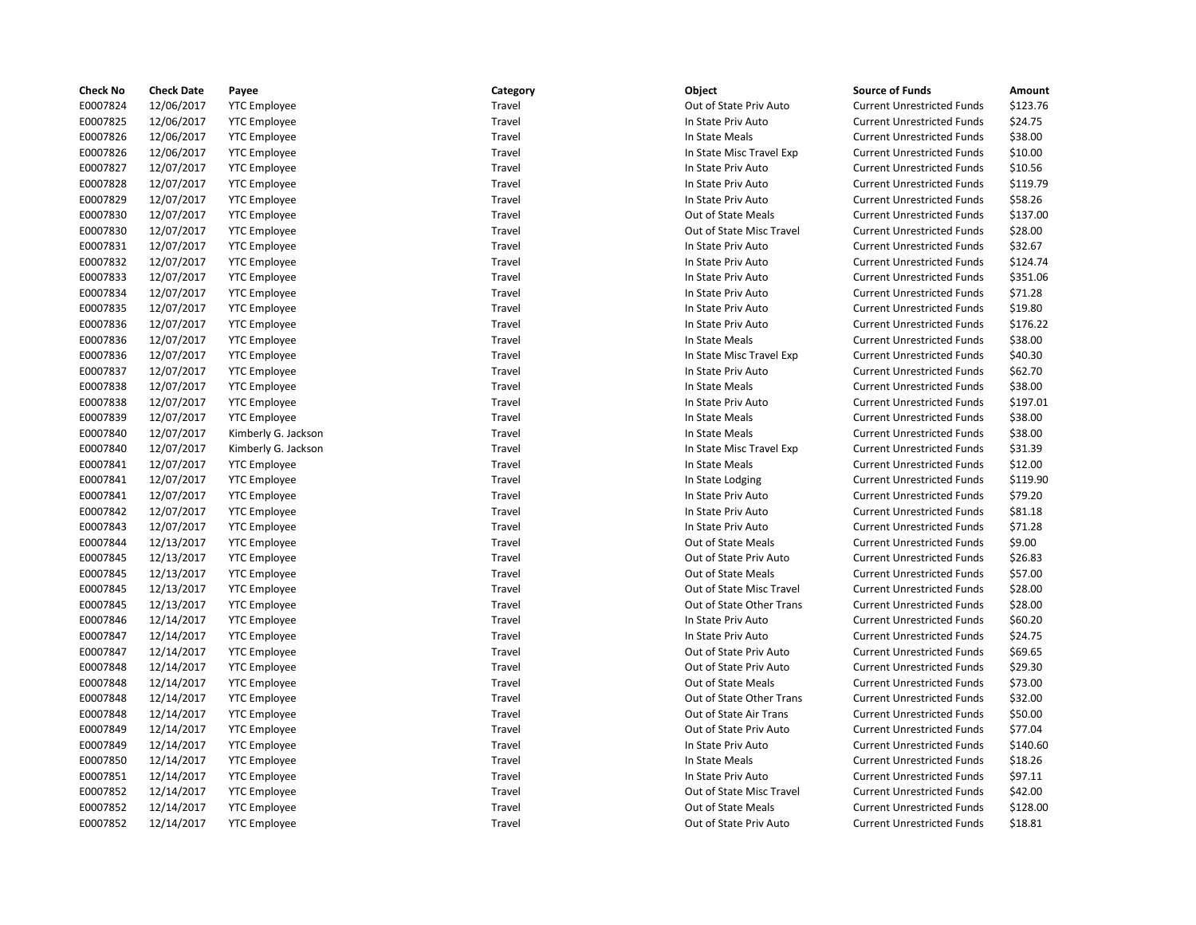| <b>Check No</b> | <b>Check Date</b> | Payee               | Category | Object                   | <b>Source of Funds</b>            | Amount   |
|-----------------|-------------------|---------------------|----------|--------------------------|-----------------------------------|----------|
| E0007824        | 12/06/2017        | <b>YTC Employee</b> | Travel   | Out of State Priv Auto   | <b>Current Unrestricted Funds</b> | \$123.76 |
| E0007825        | 12/06/2017        | <b>YTC Employee</b> | Travel   | In State Priv Auto       | <b>Current Unrestricted Funds</b> | \$24.75  |
| E0007826        | 12/06/2017        | <b>YTC Employee</b> | Travel   | In State Meals           | <b>Current Unrestricted Funds</b> | \$38.00  |
| E0007826        | 12/06/2017        | <b>YTC Employee</b> | Travel   | In State Misc Travel Exp | <b>Current Unrestricted Funds</b> | \$10.00  |
| E0007827        | 12/07/2017        | <b>YTC Employee</b> | Travel   | In State Priv Auto       | <b>Current Unrestricted Funds</b> | \$10.56  |
| E0007828        | 12/07/2017        | <b>YTC Employee</b> | Travel   | In State Priv Auto       | <b>Current Unrestricted Funds</b> | \$119.79 |
| E0007829        | 12/07/2017        | <b>YTC Employee</b> | Travel   | In State Priv Auto       | <b>Current Unrestricted Funds</b> | \$58.26  |
| E0007830        | 12/07/2017        | <b>YTC Employee</b> | Travel   | Out of State Meals       | <b>Current Unrestricted Funds</b> | \$137.00 |
| E0007830        | 12/07/2017        | <b>YTC Employee</b> | Travel   | Out of State Misc Travel | <b>Current Unrestricted Funds</b> | \$28.00  |
| E0007831        | 12/07/2017        | <b>YTC Employee</b> | Travel   | In State Priv Auto       | <b>Current Unrestricted Funds</b> | \$32.67  |
| E0007832        | 12/07/2017        | <b>YTC Employee</b> | Travel   | In State Priv Auto       | <b>Current Unrestricted Funds</b> | \$124.74 |
| E0007833        | 12/07/2017        | <b>YTC Employee</b> | Travel   | In State Priv Auto       | <b>Current Unrestricted Funds</b> | \$351.06 |
| E0007834        | 12/07/2017        | <b>YTC Employee</b> | Travel   | In State Priv Auto       | <b>Current Unrestricted Funds</b> | \$71.28  |
| E0007835        | 12/07/2017        | <b>YTC Employee</b> | Travel   | In State Priv Auto       | <b>Current Unrestricted Funds</b> | \$19.80  |
| E0007836        | 12/07/2017        | <b>YTC Employee</b> | Travel   | In State Priv Auto       | <b>Current Unrestricted Funds</b> | \$176.22 |
| E0007836        | 12/07/2017        | <b>YTC Employee</b> | Travel   | In State Meals           | <b>Current Unrestricted Funds</b> | \$38.00  |
| E0007836        | 12/07/2017        | <b>YTC Employee</b> | Travel   | In State Misc Travel Exp | <b>Current Unrestricted Funds</b> | \$40.30  |
| E0007837        | 12/07/2017        | <b>YTC Employee</b> | Travel   | In State Priv Auto       | <b>Current Unrestricted Funds</b> | \$62.70  |
| E0007838        | 12/07/2017        | <b>YTC Employee</b> | Travel   | In State Meals           | <b>Current Unrestricted Funds</b> | \$38.00  |
| E0007838        | 12/07/2017        | <b>YTC Employee</b> | Travel   | In State Priv Auto       | <b>Current Unrestricted Funds</b> | \$197.01 |
| E0007839        | 12/07/2017        | <b>YTC Employee</b> | Travel   | In State Meals           | <b>Current Unrestricted Funds</b> | \$38.00  |
| E0007840        | 12/07/2017        | Kimberly G. Jackson | Travel   | In State Meals           | <b>Current Unrestricted Funds</b> | \$38.00  |
| E0007840        | 12/07/2017        | Kimberly G. Jackson | Travel   | In State Misc Travel Exp | <b>Current Unrestricted Funds</b> | \$31.39  |
| E0007841        | 12/07/2017        | <b>YTC Employee</b> | Travel   | In State Meals           | <b>Current Unrestricted Funds</b> | \$12.00  |
| E0007841        | 12/07/2017        | <b>YTC Employee</b> | Travel   | In State Lodging         | <b>Current Unrestricted Funds</b> | \$119.90 |
| E0007841        | 12/07/2017        | <b>YTC Employee</b> | Travel   | In State Priv Auto       | <b>Current Unrestricted Funds</b> | \$79.20  |
| E0007842        | 12/07/2017        | <b>YTC Employee</b> | Travel   | In State Priv Auto       | <b>Current Unrestricted Funds</b> | \$81.18  |
| E0007843        | 12/07/2017        | <b>YTC Employee</b> | Travel   | In State Priv Auto       | <b>Current Unrestricted Funds</b> | \$71.28  |
| E0007844        | 12/13/2017        | <b>YTC Employee</b> | Travel   | Out of State Meals       | <b>Current Unrestricted Funds</b> | \$9.00   |
| E0007845        | 12/13/2017        | <b>YTC Employee</b> | Travel   | Out of State Priv Auto   | <b>Current Unrestricted Funds</b> | \$26.83  |
| E0007845        | 12/13/2017        | <b>YTC Employee</b> | Travel   | Out of State Meals       | <b>Current Unrestricted Funds</b> | \$57.00  |
| E0007845        | 12/13/2017        | <b>YTC Employee</b> | Travel   | Out of State Misc Travel | <b>Current Unrestricted Funds</b> | \$28.00  |
| E0007845        | 12/13/2017        | <b>YTC Employee</b> | Travel   | Out of State Other Trans | <b>Current Unrestricted Funds</b> | \$28.00  |
| E0007846        | 12/14/2017        | <b>YTC Employee</b> | Travel   | In State Priv Auto       | <b>Current Unrestricted Funds</b> | \$60.20  |
| E0007847        | 12/14/2017        | <b>YTC Employee</b> | Travel   | In State Priv Auto       | <b>Current Unrestricted Funds</b> | \$24.75  |
| E0007847        | 12/14/2017        | <b>YTC Employee</b> | Travel   | Out of State Priv Auto   | <b>Current Unrestricted Funds</b> | \$69.65  |
| E0007848        | 12/14/2017        | <b>YTC Employee</b> | Travel   | Out of State Priv Auto   | <b>Current Unrestricted Funds</b> | \$29.30  |
| E0007848        | 12/14/2017        | <b>YTC Employee</b> | Travel   | Out of State Meals       | <b>Current Unrestricted Funds</b> | \$73.00  |
| E0007848        | 12/14/2017        | <b>YTC Employee</b> | Travel   | Out of State Other Trans | <b>Current Unrestricted Funds</b> | \$32.00  |
| E0007848        | 12/14/2017        | <b>YTC Employee</b> | Travel   | Out of State Air Trans   | <b>Current Unrestricted Funds</b> | \$50.00  |
| E0007849        | 12/14/2017        | <b>YTC Employee</b> | Travel   | Out of State Priv Auto   | <b>Current Unrestricted Funds</b> | \$77.04  |
| E0007849        | 12/14/2017        | <b>YTC Employee</b> | Travel   | In State Priv Auto       | <b>Current Unrestricted Funds</b> | \$140.60 |
| E0007850        | 12/14/2017        | <b>YTC Employee</b> | Travel   | In State Meals           | <b>Current Unrestricted Funds</b> | \$18.26  |
| E0007851        | 12/14/2017        | <b>YTC Employee</b> | Travel   | In State Priv Auto       | <b>Current Unrestricted Funds</b> | \$97.11  |
| E0007852        | 12/14/2017        | <b>YTC Employee</b> | Travel   | Out of State Misc Travel | <b>Current Unrestricted Funds</b> | \$42.00  |
| E0007852        | 12/14/2017        | <b>YTC Employee</b> | Travel   | Out of State Meals       | <b>Current Unrestricted Funds</b> | \$128.00 |
| E0007852        | 12/14/2017        | <b>YTC Employee</b> | Travel   | Out of State Priv Auto   | <b>Current Unrestricted Funds</b> | \$18.81  |
|                 |                   |                     |          |                          |                                   |          |